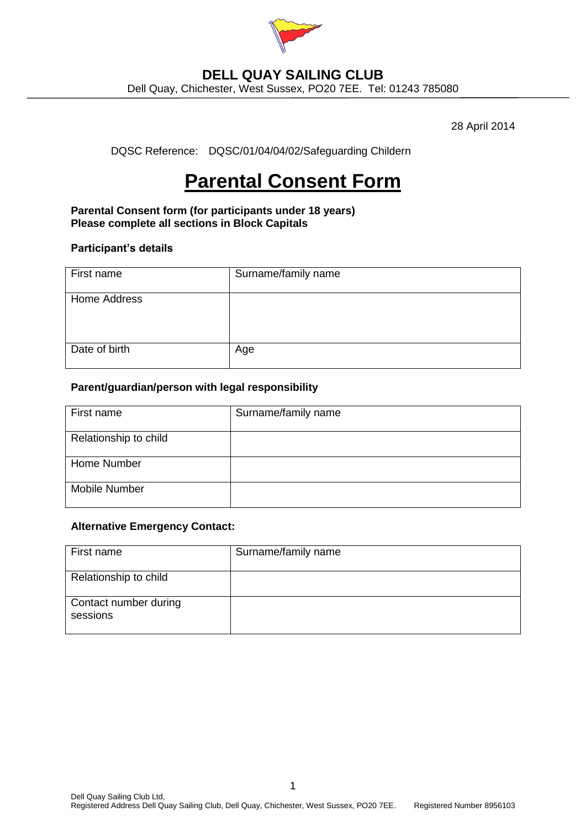

## **DELL QUAY SAILING CLUB**

Dell Quay, Chichester, West Sussex, PO20 7EE. Tel: 01243 785080

28 April 2014

DQSC Reference: DQSC/01/04/04/02/Safeguarding Childern

# **Parental Consent Form**

**Parental Consent form (for participants under 18 years) Please complete all sections in Block Capitals**

#### **Participant's details**

| First name    | Surname/family name |
|---------------|---------------------|
| Home Address  |                     |
| Date of birth | Age                 |

#### **Parent/guardian/person with legal responsibility**

| First name            | Surname/family name |
|-----------------------|---------------------|
| Relationship to child |                     |
| Home Number           |                     |
| Mobile Number         |                     |

#### **Alternative Emergency Contact:**

| First name                        | Surname/family name |
|-----------------------------------|---------------------|
| Relationship to child             |                     |
| Contact number during<br>sessions |                     |

1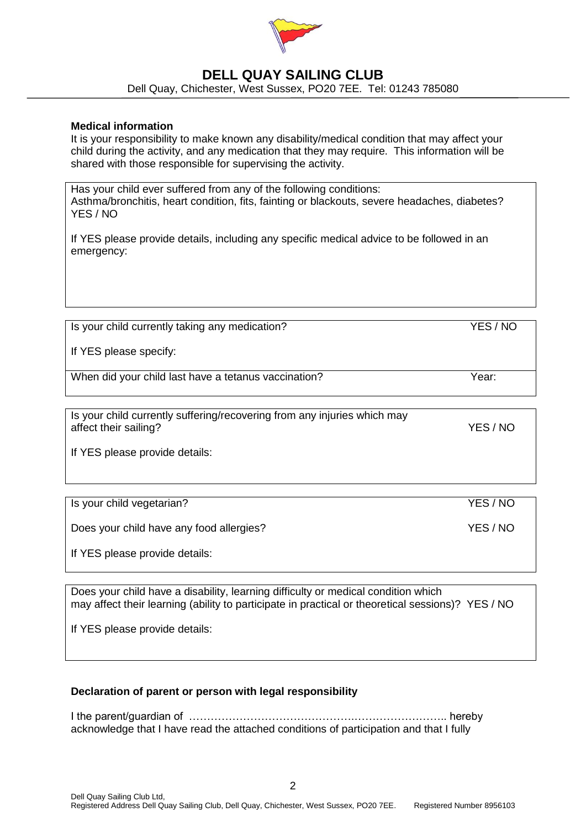

## **DELL QUAY SAILING CLUB**

Dell Quay, Chichester, West Sussex, PO20 7EE. Tel: 01243 785080

#### **Medical information**

It is your responsibility to make known any disability/medical condition that may affect your child during the activity, and any medication that they may require. This information will be shared with those responsible for supervising the activity.

Has your child ever suffered from any of the following conditions: Asthma/bronchitis, heart condition, fits, fainting or blackouts, severe headaches, diabetes? YES / NO

If YES please provide details, including any specific medical advice to be followed in an emergency:

Is your child currently taking any medication? YES / NO

If YES please specify:

When did your child last have a tetanus vaccination? The metal when the Year:

Is your child currently suffering/recovering from any injuries which may affect their sailing? The state of the same state of the state of the state of the state of the state of the state of the state of the state of the state of the state of the state of the state of the state of the state of

If YES please provide details:

Is your child vegetarian? YES / NO

Does your child have any food allergies? VES / NO

If YES please provide details:

Does your child have a disability, learning difficulty or medical condition which may affect their learning (ability to participate in practical or theoretical sessions)? YES / NO

If YES please provide details:

#### **Declaration of parent or person with legal responsibility**

I the parent/guardian of ……………………………………….…………………….. hereby acknowledge that I have read the attached conditions of participation and that I fully

2 Dell Quay Sailing Club Ltd, Registered Address Dell Quay Sailing Club, Dell Quay, Chichester, West Sussex, PO20 7EE. Registered Number 8956103